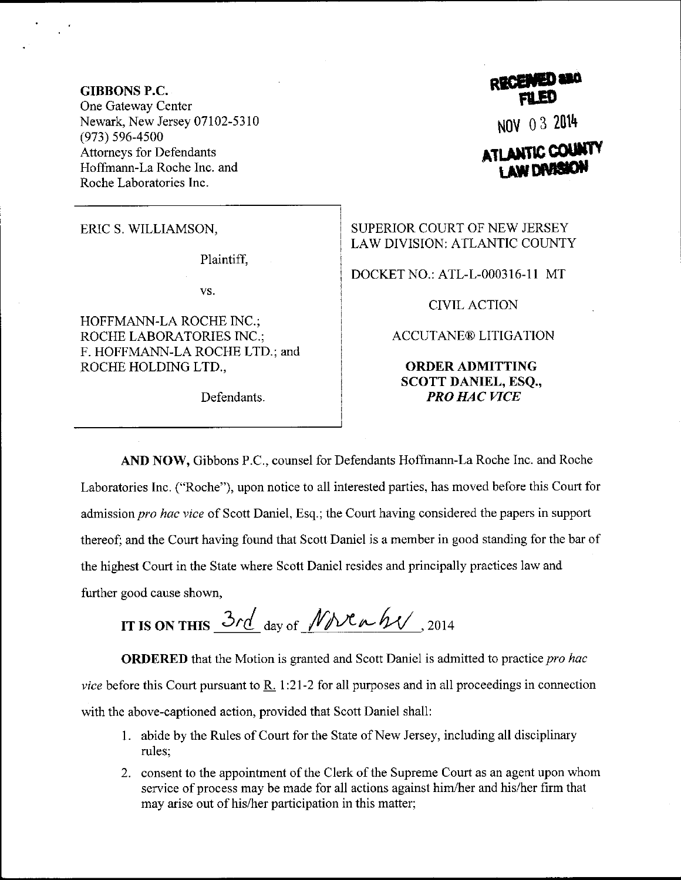**GIBBONS P.C.** One Gateway Center Newark, New Jersey 07102-5310  $(973) 596 - 4500$ **Attorneys for Defendants** Hoffmann-La Roche Inc. and Roche Laboratories Inc.

ERIC S. WILLIAMSON,

Plaintiff,

VS.

HOFFMANN-LA ROCHE INC.; ROCHE LABORATORIES INC.; F. HOFFMANN-LA ROCHE LTD.; and ROCHE HOLDING LTD.,

Defendants.

NOV 03 2014

## ATLANTIC COUNT **I AW DARS**

SUPERIOR COURT OF NEW JERSEY LAW DIVISION: ATLANTIC COUNTY

DOCKET NO.: ATL-L-000316-11 MT

**CIVIL ACTION** 

**ACCUTANE® LITIGATION** 

## **ORDER ADMITTING SCOTT DANIEL, ESO., PRO HAC VICE**

AND NOW, Gibbons P.C., counsel for Defendants Hoffmann-La Roche Inc. and Roche Laboratories Inc. ("Roche"), upon notice to all interested parties, has moved before this Court for admission pro hac vice of Scott Daniel, Esq.; the Court having considered the papers in support thereof; and the Court having found that Scott Daniel is a member in good standing for the bar of the highest Court in the State where Scott Daniel resides and principally practices law and further good cause shown,

IT IS ON THIS 3rd day of  $Mx \wedge hy$ , 2014

**ORDERED** that the Motion is granted and Scott Daniel is admitted to practice pro hac vice before this Court pursuant to R. 1:21-2 for all purposes and in all proceedings in connection with the above-captioned action, provided that Scott Daniel shall:

- 1. abide by the Rules of Court for the State of New Jersey, including all disciplinary rules:
- 2. consent to the appointment of the Clerk of the Supreme Court as an agent upon whom service of process may be made for all actions against him/her and his/her firm that may arise out of his/her participation in this matter;